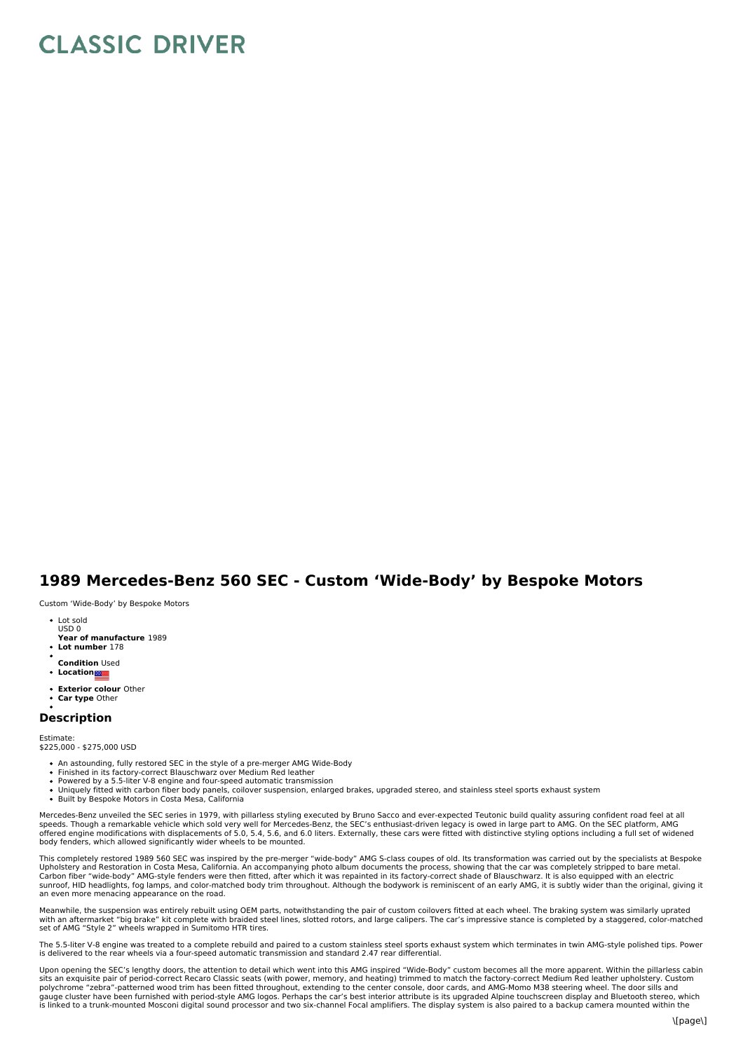## **CLASSIC DRIVER**

## **1989 Mercedes-Benz 560 SEC - Custom 'Wide-Body' by Bespoke Motors**

Custom 'Wide-Body' by Bespoke Motors

- Lot sold USD 0
- **Year of manufacture** 1989
- **Lot number** 178
- **Condition** Used
- **Location**
- **Exterior colour** Other
- **Car type** Other

## **Description**

Estimate:<br>\$225,000 - \$275,000 USD

- 
- An astounding, fully restored SEC in the style of a pre-merger AMG Wide-Body<br>Finished in its factory-correct Blauschwarz over Medium Red leather<br>Powered by a 5.5-liter V-8 engine and four-speed automatic transmission
- Uniquely fitted with carbon fiber body panels, coilover suspension, enlarged brakes, upgraded stereo, and stainless steel sports exhaust system
- Built by Bespoke Motors in Costa Mesa, California

Mercedes-Benz unveiled the SEC series in 1979, with pillarless styling executed by Bruno Sacco and ever-expected Teutonic build quality assuring confident road feel at all<br>speeds. Though a remarkable vehicle which sold ver body fenders, which allowed significantly wider wheels to be mounted.

This completely restored 1989 560 SEC was inspired by the pre-merger "wide-body" AMG S-class coupes of old. Its transformation was carried out by the specialists at Bespoke Upholstery and Restoration in Costa Mesa, California. An accompanying photo album documents the process, showing that the car was completely stripped to bare metal.<br>Carbon fiber "wide-body" AMG-style fenders were then fitt sunroof, HID headlights, fog lamps, and color-matched body trim throughout. Although the bodywork is reminiscent of an early AMG, it is subtly wider than the original, giving it<br>an even more menacing appearance on the road

Meanwhile, the suspension was entirely rebuilt using OEM parts, notwithstanding the pair of custom coilovers fitted at each wheel. The braking system was similarly uprated with an aftermarket "big brake" kit complete with braided steel lines, slotted rotors, and large calipers. The car's impressive stance is completed by a staggered, color-matched<br>set of AMG "Style 2" wheels wrapped in Sumit

The 5.5-liter V-8 engine was treated to a complete rebuild and paired to a custom stainless steel sports exhaust system which terminates in twin AMG-style polished tips. Power is delivered to the rear wheels via a four-speed automatic transmission and standard 2.47 rear differential.

Upon opening the SEC's lengthy doors, the attention to detail which went into this AMG inspired "Wide-Body" custom becomes all the more apparent. Within the pillarless cabin sits an exquisite pair of period-correct Recaro Classic seats (with power, memory, and heating) trimmed to match the factory-correct Medium Red leather upholstery. Custom<br>polychrome "zebra"-patterned wood trim has been fit gauge cluster have been furnished with period-style AMG logos. Perhaps the car's best interior attribute is its upgraded Alpine touchscreen display and Bluetooth stereo, which<br>is linked to a trunk-mounted Mosconi digital s